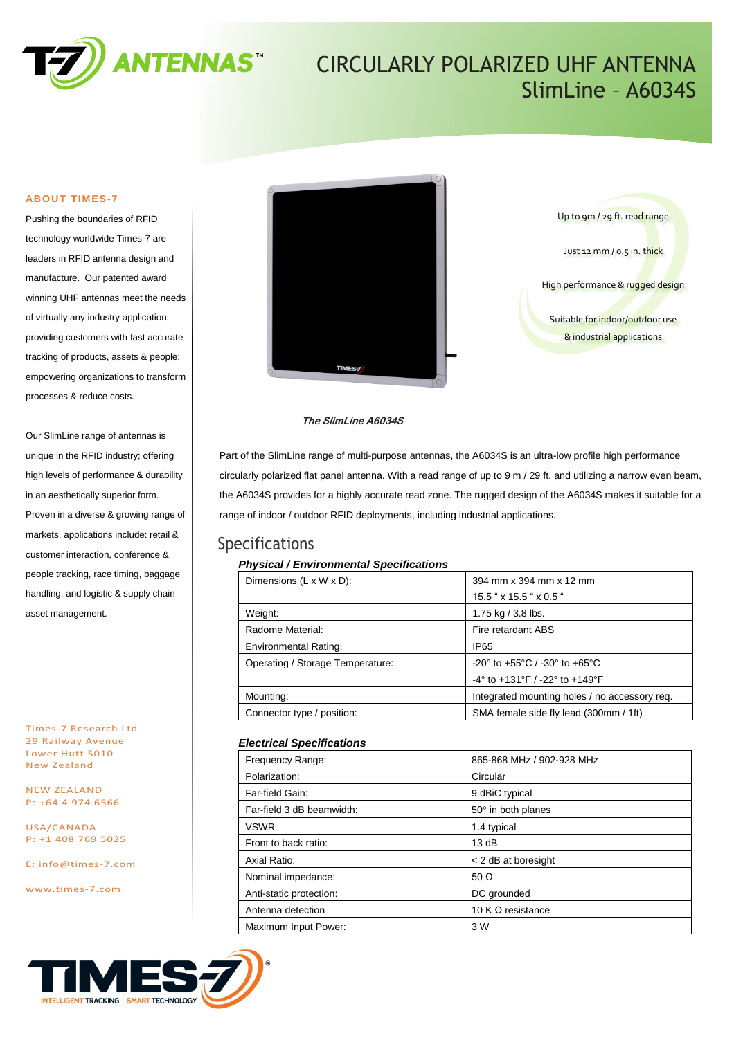

## CIRCULARLY POLARIZED UHF ANTENNA SlimLine – A6034S

#### **ABOUT TIMES-7**

Pushing the boundaries of RFID technology worldwide Times-7 are leaders in RFID antenna design and manufacture. Our patented award winning UHF antennas meet the needs of virtually any industry application; providing customers with fast accurate tracking of products, assets & people; empowering organizations to transform processes & reduce costs.

Our SlimLine range of antennas is unique in the RFID industry; offering high levels of performance & durability in an aesthetically superior form. Proven in a diverse & growing range of markets, applications include: retail & customer interaction, conference & people tracking, race timing, baggage handling, and logistic & supply chain asset management.

Times-7 Research Ltd 29 Railway Avenue Lower Hutt 5010 New Zealand

NEW ZEALAND P: +64 4 974 6566

USA/CANADA P: +1 408 769 5025

E: [info@times-7.com](mailto:info@times-7.com)

www.times-7.com





#### **The SlimLine A6034S**

Part of the SlimLine range of multi-purpose antennas, the A6034S is an ultra-low profile high performance circularly polarized flat panel antenna. With a read range of up to 9 m / 29 ft. and utilizing a narrow even beam, the A6034S provides for a highly accurate read zone. The rugged design of the A6034S makes it suitable for a range of indoor / outdoor RFID deployments, including industrial applications.

### Specifications

#### *Physical / Environmental Specifications*

| 394 mm x 394 mm x 12 mm                                              |  |
|----------------------------------------------------------------------|--|
| $15.5$ " x $15.5$ " x $0.5$ "                                        |  |
| 1.75 kg $/$ 3.8 lbs.                                                 |  |
| Fire retardant ABS                                                   |  |
| IP65                                                                 |  |
| $-20^{\circ}$ to $+55^{\circ}$ C / $-30^{\circ}$ to $+65^{\circ}$ C  |  |
| $-4^{\circ}$ to $+131^{\circ}$ F / $-22^{\circ}$ to $+149^{\circ}$ F |  |
| Integrated mounting holes / no accessory reg.                        |  |
| SMA female side fly lead (300mm / 1ft)                               |  |
|                                                                      |  |

#### *Electrical Specifications*

| Frequency Range:          | 865-868 MHz / 902-928 MHz |
|---------------------------|---------------------------|
| Polarization:             | Circular                  |
| Far-field Gain:           | 9 dBiC typical            |
| Far-field 3 dB beamwidth: | 50° in both planes        |
| <b>VSWR</b>               | 1.4 typical               |
| Front to back ratio:      | 13 dB                     |
| Axial Ratio:              | < 2 dB at boresight       |
| Nominal impedance:        | 50 $\Omega$               |
| Anti-static protection:   | DC grounded               |
| Antenna detection         | 10 K $\Omega$ resistance  |
| Maximum Input Power:      | 3 W                       |